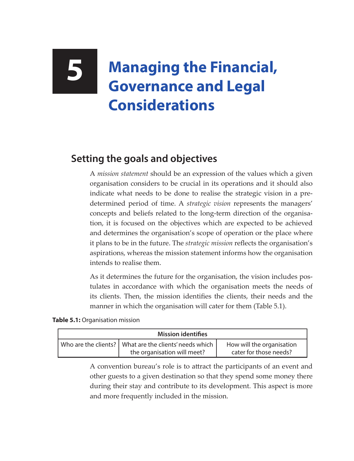## **5 Managing the Financial, Governance and Legal Considerations**

## **Setting the goals and objectives**

A *mission statement* should be an expression of the values which a given organisation considers to be crucial in its operations and it should also indicate what needs to be done to realise the strategic vision in a predetermined period of time. A *strategic vision* represents the managers' concepts and beliefs related to the long-term direction of the organisation, it is focused on the objectives which are expected to be achieved and determines the organisation's scope of operation or the place where it plans to be in the future. The *strategic mission* reflects the organisation's aspirations, whereas the mission statement informs how the organisation intends to realise them.

As it determines the future for the organisation, the vision includes postulates in accordance with which the organisation meets the needs of its clients. Then, the mission identifies the clients, their needs and the manner in which the organisation will cater for them (Table 5.1).

## **Table 5.1:** Organisation mission

| <b>Mission identifies</b> |                                                                                         |                                                     |
|---------------------------|-----------------------------------------------------------------------------------------|-----------------------------------------------------|
|                           | Who are the clients?   What are the clients' needs which<br>the organisation will meet? | How will the organisation<br>cater for those needs? |

A convention bureau's role is to attract the participants of an event and other guests to a given destination so that they spend some money there during their stay and contribute to its development. This aspect is more and more frequently included in the mission.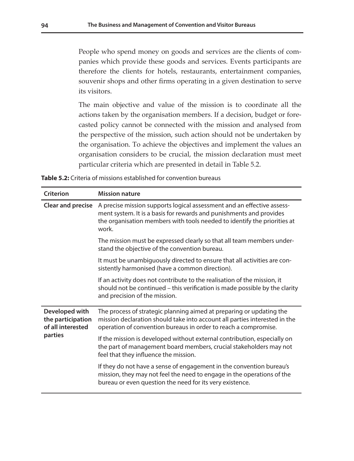People who spend money on goods and services are the clients of companies which provide these goods and services. Events participants are therefore the clients for hotels, restaurants, entertainment companies, souvenir shops and other firms operating in a given destination to serve its visitors.

The main objective and value of the mission is to coordinate all the actions taken by the organisation members. If a decision, budget or forecasted policy cannot be connected with the mission and analysed from the perspective of the mission, such action should not be undertaken by the organisation. To achieve the objectives and implement the values an organisation considers to be crucial, the mission declaration must meet particular criteria which are presented in detail in Table 5.2.

| <b>Table 5.2:</b> Criteria of missions established for convention bureaus |  |
|---------------------------------------------------------------------------|--|
|---------------------------------------------------------------------------|--|

| Criterion                                                           | <b>Mission nature</b>                                                                                                                                                                                                              |
|---------------------------------------------------------------------|------------------------------------------------------------------------------------------------------------------------------------------------------------------------------------------------------------------------------------|
| Clear and precise                                                   | A precise mission supports logical assessment and an effective assess-<br>ment system. It is a basis for rewards and punishments and provides<br>the organisation members with tools needed to identify the priorities at<br>work. |
|                                                                     | The mission must be expressed clearly so that all team members under-<br>stand the objective of the convention bureau.                                                                                                             |
|                                                                     | It must be unambiguously directed to ensure that all activities are con-<br>sistently harmonised (have a common direction).                                                                                                        |
|                                                                     | If an activity does not contribute to the realisation of the mission, it<br>should not be continued – this verification is made possible by the clarity<br>and precision of the mission.                                           |
| Developed with<br>the participation<br>of all interested<br>parties | The process of strategic planning aimed at preparing or updating the<br>mission declaration should take into account all parties interested in the<br>operation of convention bureaus in order to reach a compromise.              |
|                                                                     | If the mission is developed without external contribution, especially on<br>the part of management board members, crucial stakeholders may not<br>feel that they influence the mission.                                            |
|                                                                     | If they do not have a sense of engagement in the convention bureau's<br>mission, they may not feel the need to engage in the operations of the<br>bureau or even question the need for its very existence.                         |